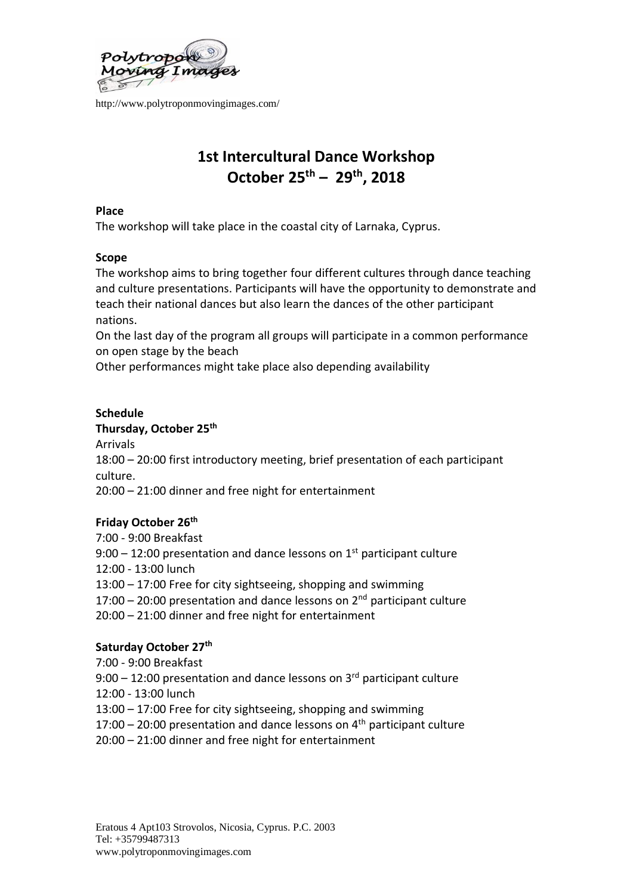

# **1st Intercultural Dance Workshop October 25 th – 29th, 2018**

### **Place**

The workshop will take place in the coastal city of Larnaka, Cyprus.

## **Scope**

The workshop aims to bring together four different cultures through dance teaching and culture presentations. Participants will have the opportunity to demonstrate and teach their national dances but also learn the dances of the other participant nations.

On the last day of the program all groups will participate in a common performance on open stage by the beach

Other performances might take place also depending availability

# **Schedule**

## **Thursday, October 25th**

Arrivals

18:00 – 20:00 first introductory meeting, brief presentation of each participant culture.

20:00 – 21:00 dinner and free night for entertainment

# **Friday October 26th**

7:00 - 9:00 Breakfast

- $9:00 12:00$  presentation and dance lessons on  $1<sup>st</sup>$  participant culture
- 12:00 13:00 lunch

13:00 – 17:00 Free for city sightseeing, shopping and swimming

- 17:00 20:00 presentation and dance lessons on  $2<sup>nd</sup>$  participant culture
- 20:00 21:00 dinner and free night for entertainment

# **Saturday October 27th**

7:00 - 9:00 Breakfast

 $9:00 - 12:00$  presentation and dance lessons on  $3<sup>rd</sup>$  participant culture

- 12:00 13:00 lunch
- 13:00 17:00 Free for city sightseeing, shopping and swimming
- 17:00 20:00 presentation and dance lessons on  $4<sup>th</sup>$  participant culture
- 20:00 21:00 dinner and free night for entertainment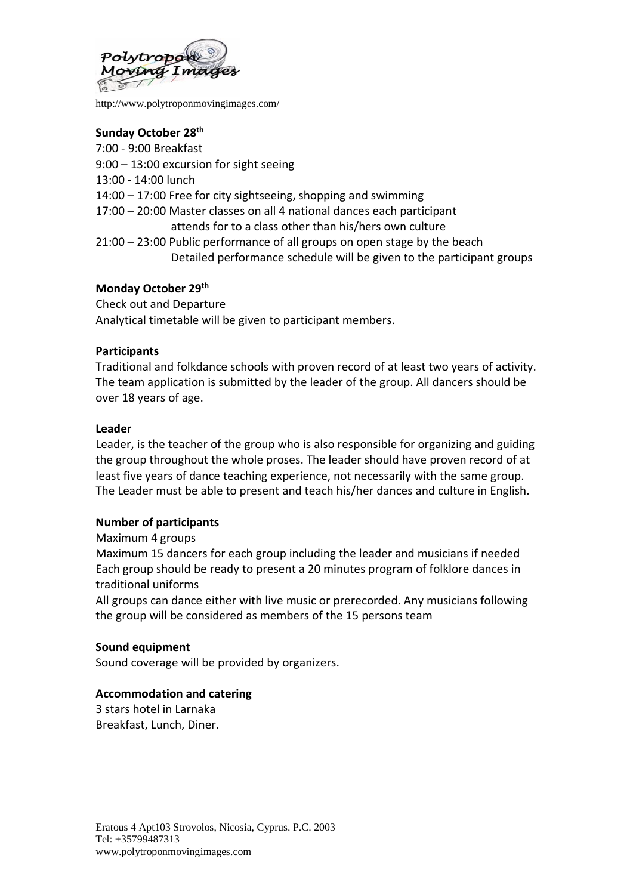

## **Sunday October 28th**

- 7:00 9:00 Breakfast
- 9:00 13:00 excursion for sight seeing
- 13:00 14:00 lunch
- 14:00 17:00 Free for city sightseeing, shopping and swimming
- 17:00 20:00 Master classes on all 4 national dances each participant attends for to a class other than his/hers own culture
- 21:00 23:00 Public performance of all groups on open stage by the beach Detailed performance schedule will be given to the participant groups

### **Monday October 29th**

Check out and Departure Analytical timetable will be given to participant members.

### **Participants**

Traditional and folkdance schools with proven record of at least two years of activity. The team application is submitted by the leader of the group. All dancers should be over 18 years of age.

#### **Leader**

Leader, is the teacher of the group who is also responsible for organizing and guiding the group throughout the whole proses. The leader should have proven record of at least five years of dance teaching experience, not necessarily with the same group. The Leader must be able to present and teach his/her dances and culture in English.

#### **Number of participants**

#### Maximum 4 groups

Maximum 15 dancers for each group including the leader and musicians if needed Each group should be ready to present a 20 minutes program of folklore dances in traditional uniforms

All groups can dance either with live music or prerecorded. Any musicians following the group will be considered as members of the 15 persons team

#### **Sound equipment**

Sound coverage will be provided by organizers.

## **Accommodation and catering**

3 stars hotel in Larnaka Breakfast, Lunch, Diner.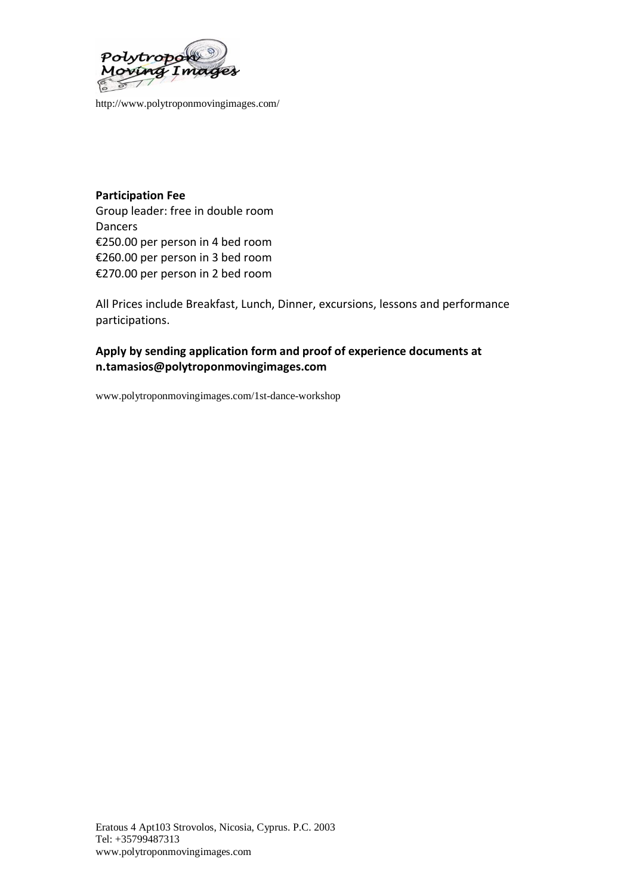

# **Participation Fee** Group leader: free in double room Dancers €250.00 per person in 4 bed room €260.00 per person in 3 bed room €270.00 per person in 2 bed room

All Prices include Breakfast, Lunch, Dinner, excursions, lessons and performance participations.

## **Apply by sending application form and proof of experience documents at [n.tamasios@polytroponmovingimages.com](mailto:n.tamasios@polytroponmovingimages.com)**

[www.polytroponmovingimages.com/1st-dance-workshop](http://www.polytroponmovingimages.com/1st-dance-workshop)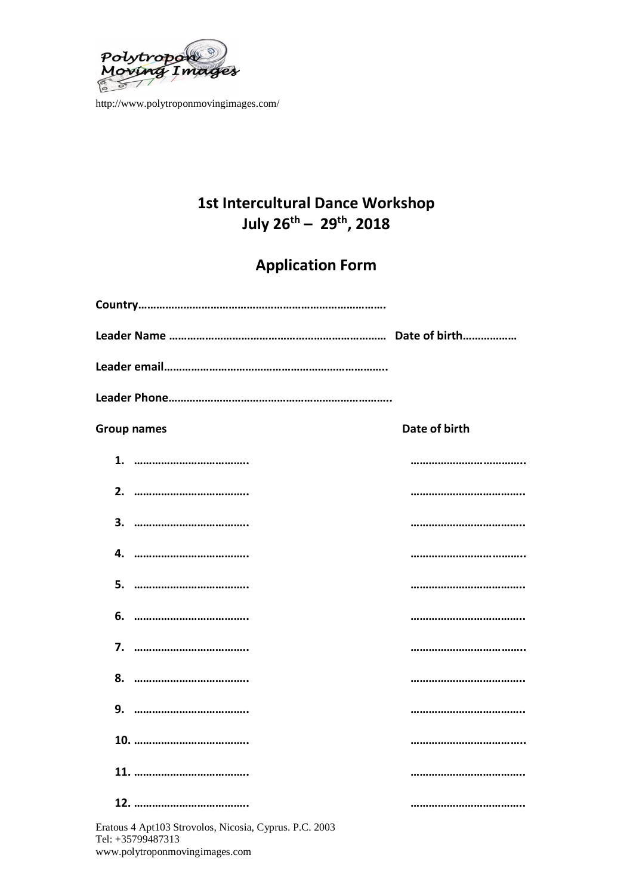

# **1st Intercultural Dance Workshop July 26th – 29th, 2018**

# **Application Form**

| <b>Group names</b>                                     | Date of birth |
|--------------------------------------------------------|---------------|
|                                                        |               |
|                                                        |               |
|                                                        |               |
| 4.                                                     |               |
|                                                        |               |
| 6.                                                     |               |
|                                                        |               |
|                                                        |               |
|                                                        |               |
|                                                        |               |
|                                                        |               |
|                                                        |               |
| Eratous 4 Apt103 Strovolos, Nicosia, Cyprus. P.C. 2003 |               |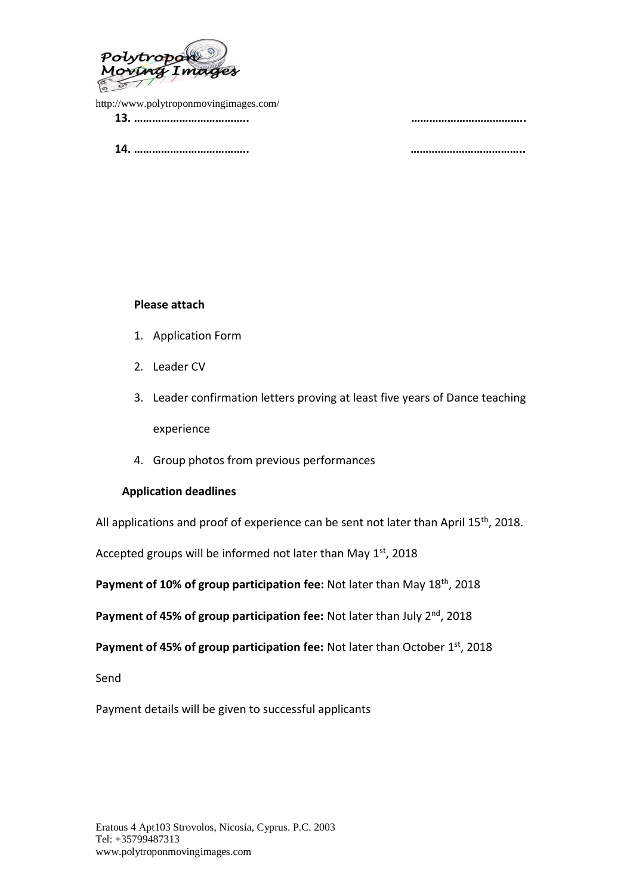

<http://www.polytroponmovingimages.com/> **13. ……………………………….. ………………………………..**

**14. ……………………………….. ………………………………..**

#### **Please attach**

- 1. Application Form
- 2. Leader CV
- 3. Leader confirmation letters proving at least five years of Dance teaching experience
- 4. Group photos from previous performances

#### **Application deadlines**

All applications and proof of experience can be sent not later than April 15<sup>th</sup>, 2018.

Accepted groups will be informed not later than May 1st, 2018

Payment of 10% of group participation fee: Not later than May 18<sup>th</sup>, 2018

Payment of 45% of group participation fee: Not later than July 2<sup>nd</sup>, 2018

Payment of 45% of group participation fee: Not later than October 1<sup>st</sup>, 2018

Send

Payment details will be given to successful applicants